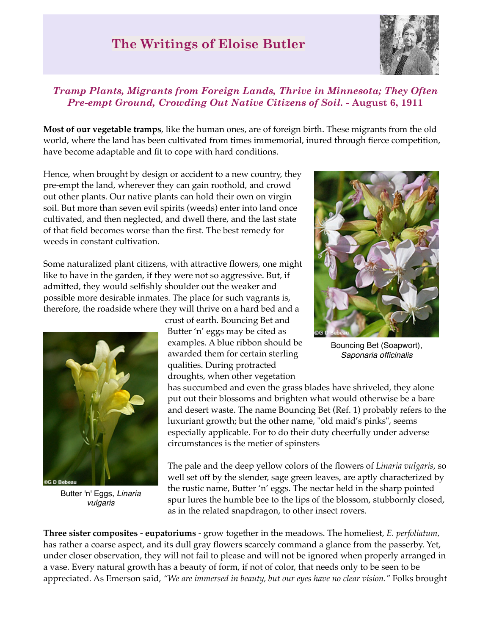## **The Writings of Eloise Butler**



## *Tramp Plants, Migrants from Foreign Lands, Thrive in Minnesota; They Often Pre-empt Ground, Crowding Out Native Citizens of Soil.* **- August 6, 1911**

**Most of our vegetable tramps**, like the human ones, are of foreign birth. These migrants from the old world, where the land has been cultivated from times immemorial, inured through fierce competition, have become adaptable and fit to cope with hard conditions.

Hence, when brought by design or accident to a new country, they pre-empt the land, wherever they can gain roothold, and crowd out other plants. Our native plants can hold their own on virgin soil. But more than seven evil spirits (weeds) enter into land once cultivated, and then neglected, and dwell there, and the last state of that field becomes worse than the first. The best remedy for weeds in constant cultivation.

Some naturalized plant citizens, with attractive flowers, one might like to have in the garden, if they were not so aggressive. But, if admitted, they would selfishly shoulder out the weaker and possible more desirable inmates. The place for such vagrants is, therefore, the roadside where they will thrive on a hard bed and a



Butter 'n' Eggs, *Linaria vulgaris*

crust of earth. Bouncing Bet and Butter 'n' eggs may be cited as examples. A blue ribbon should be awarded them for certain sterling qualities. During protracted droughts, when other vegetation

has succumbed and even the grass blades have shriveled, they alone put out their blossoms and brighten what would otherwise be a bare and desert waste. The name Bouncing Bet (Ref. 1) probably refers to the luxuriant growth; but the other name, "old maid's pinks", seems especially applicable. For to do their duty cheerfully under adverse circumstances is the metier of spinsters

The pale and the deep yellow colors of the flowers of *Linaria vulgaris*, so well set off by the slender, sage green leaves, are aptly characterized by the rustic name, Butter 'n' eggs. The nectar held in the sharp pointed spur lures the humble bee to the lips of the blossom, stubbornly closed, as in the related snapdragon, to other insect rovers.

**Three sister composites - eupatoriums** - grow together in the meadows. The homeliest, *E. perfoliatum,* has rather a coarse aspect, and its dull gray flowers scarcely command a glance from the passerby. Yet, under closer observation, they will not fail to please and will not be ignored when properly arranged in a vase. Every natural growth has a beauty of form, if not of color, that needs only to be seen to be appreciated. As Emerson said, *"We are immersed in beauty, but our eyes have no clear vision."* Folks brought



Bouncing Bet (Soapwort), *Saponaria officinalis*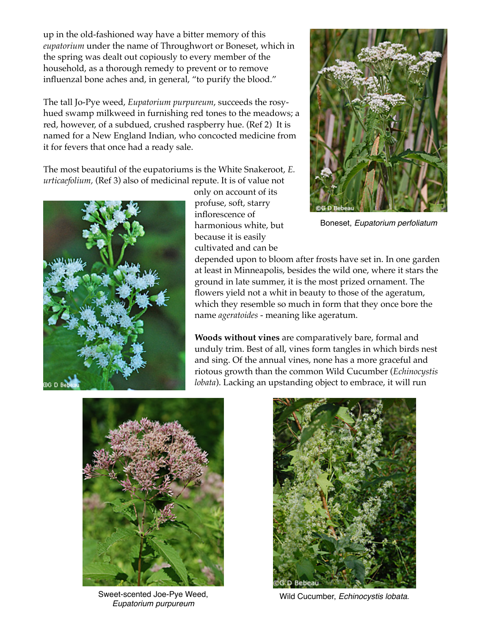up in the old-fashioned way have a bitter memory of this *eupatorium* under the name of Throughwort or Boneset, which in the spring was dealt out copiously to every member of the household, as a thorough remedy to prevent or to remove influenzal bone aches and, in general, "to purify the blood."

The tall Jo-Pye weed, *Eupatorium purpureum*, succeeds the rosyhued swamp milkweed in furnishing red tones to the meadows; a red, however, of a subdued, crushed raspberry hue. (Ref 2) It is named for a New England Indian, who concocted medicine from it for fevers that once had a ready sale.

The most beautiful of the eupatoriums is the White Snakeroot, *E. urticaefolium,* (Ref 3) also of medicinal repute. It is of value not



only on account of its profuse, soft, starry inflorescence of harmonious white, but because it is easily cultivated and can be



Boneset, *Eupatorium perfoliatum*

depended upon to bloom after frosts have set in. In one garden at least in Minneapolis, besides the wild one, where it stars the ground in late summer, it is the most prized ornament. The flowers yield not a whit in beauty to those of the ageratum, which they resemble so much in form that they once bore the name *ageratoides* - meaning like ageratum.

**Woods without vines** are comparatively bare, formal and unduly trim. Best of all, vines form tangles in which birds nest and sing. Of the annual vines, none has a more graceful and riotous growth than the common Wild Cucumber (*Echinocystis lobata*). Lacking an upstanding object to embrace, it will run



Sweet-scented Joe-Pye Weed, *Eupatorium purpureum*



Wild Cucumber, *Echinocystis lobata*.